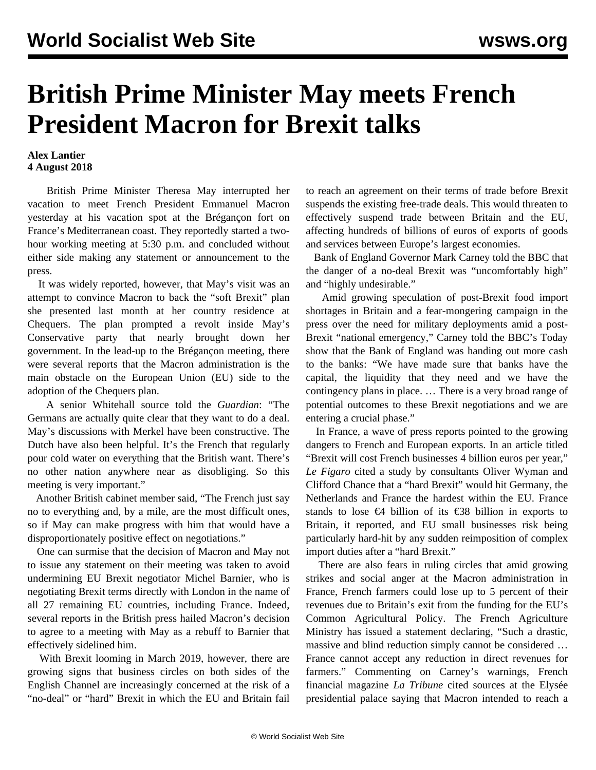## **British Prime Minister May meets French President Macron for Brexit talks**

## **Alex Lantier 4 August 2018**

 British Prime Minister Theresa May interrupted her vacation to meet French President Emmanuel Macron yesterday at his vacation spot at the Brégançon fort on France's Mediterranean coast. They reportedly started a twohour working meeting at 5:30 p.m. and concluded without either side making any statement or announcement to the press.

 It was widely reported, however, that May's visit was an attempt to convince Macron to back the "soft Brexit" plan she presented last month at her country residence at Chequers. The plan prompted a revolt inside May's Conservative party that nearly brought down her government. In the lead-up to the Brégançon meeting, there were several reports that the Macron administration is the main obstacle on the European Union (EU) side to the adoption of the Chequers plan.

 A senior Whitehall source told the *Guardian*: "The Germans are actually quite clear that they want to do a deal. May's discussions with Merkel have been constructive. The Dutch have also been helpful. It's the French that regularly pour cold water on everything that the British want. There's no other nation anywhere near as disobliging. So this meeting is very important."

 Another British cabinet member said, "The French just say no to everything and, by a mile, are the most difficult ones, so if May can make progress with him that would have a disproportionately positive effect on negotiations."

 One can surmise that the decision of Macron and May not to issue any statement on their meeting was taken to avoid undermining EU Brexit negotiator Michel Barnier, who is negotiating Brexit terms directly with London in the name of all 27 remaining EU countries, including France. Indeed, several reports in the British press hailed Macron's decision to agree to a meeting with May as a rebuff to Barnier that effectively sidelined him.

 With Brexit looming in March 2019, however, there are growing signs that business circles on both sides of the English Channel are increasingly concerned at the risk of a "no-deal" or "hard" Brexit in which the EU and Britain fail to reach an agreement on their terms of trade before Brexit suspends the existing free-trade deals. This would threaten to effectively suspend trade between Britain and the EU, affecting hundreds of billions of euros of exports of goods and services between Europe's largest economies.

 Bank of England Governor Mark Carney told the BBC that the danger of a no-deal Brexit was "uncomfortably high" and "highly undesirable."

 Amid growing speculation of post-Brexit food import shortages in Britain and a fear-mongering campaign in the press over the need for military deployments amid a post-Brexit "national emergency," Carney told the BBC's Today show that the Bank of England was handing out more cash to the banks: "We have made sure that banks have the capital, the liquidity that they need and we have the contingency plans in place. … There is a very broad range of potential outcomes to these Brexit negotiations and we are entering a crucial phase."

 In France, a wave of press reports pointed to the growing dangers to French and European exports. In an article titled "Brexit will cost French businesses 4 billion euros per year," *Le Figaro* cited a study by consultants Oliver Wyman and Clifford Chance that a "hard Brexit" would hit Germany, the Netherlands and France the hardest within the EU. France stands to lose €4 billion of its €38 billion in exports to Britain, it reported, and EU small businesses risk being particularly hard-hit by any sudden reimposition of complex import duties after a "hard Brexit."

 There are also fears in ruling circles that amid growing strikes and social anger at the Macron administration in France, French farmers could lose up to 5 percent of their revenues due to Britain's exit from the funding for the EU's Common Agricultural Policy. The French Agriculture Ministry has issued a statement declaring, "Such a drastic, massive and blind reduction simply cannot be considered … France cannot accept any reduction in direct revenues for farmers." Commenting on Carney's warnings, French financial magazine *La Tribune* cited sources at the Elysée presidential palace saying that Macron intended to reach a